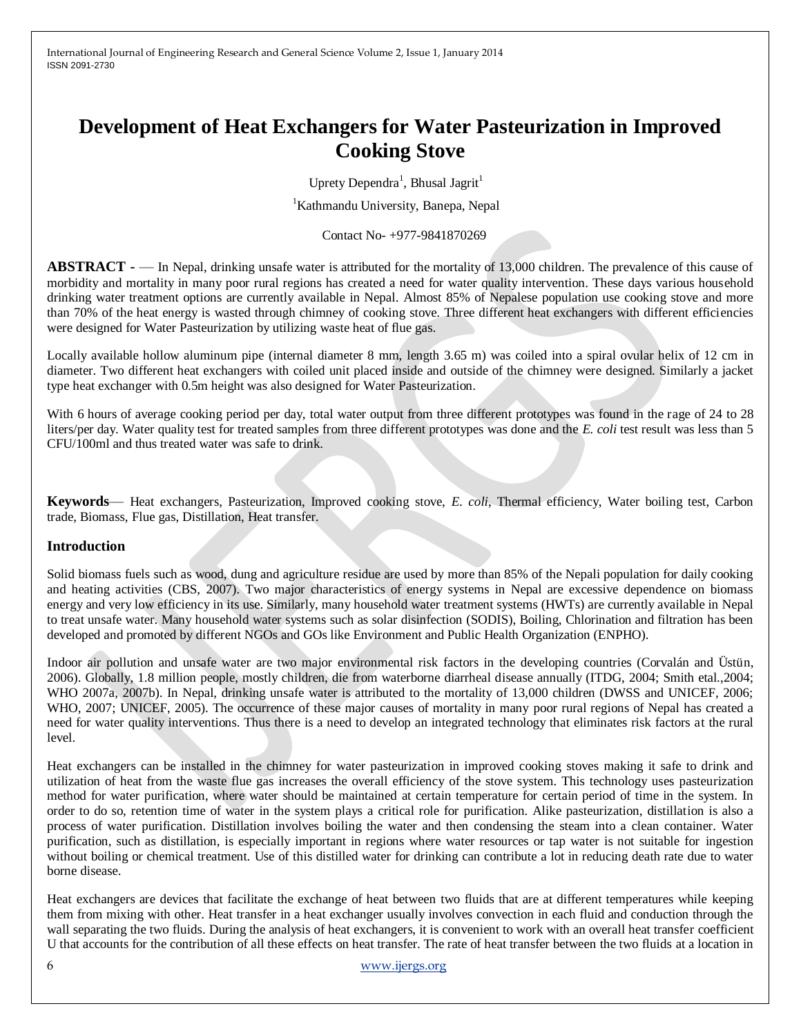# **Development of Heat Exchangers for Water Pasteurization in Improved Cooking Stove**

Uprety Dependra<sup>1</sup>, Bhusal Jagrit<sup>1</sup>

<sup>1</sup>Kathmandu University, Banepa, Nepal

Contact No- +977-9841870269

**ABSTRACT -** — In Nepal, drinking unsafe water is attributed for the mortality of 13,000 children. The prevalence of this cause of morbidity and mortality in many poor rural regions has created a need for water quality intervention. These days various household drinking water treatment options are currently available in Nepal. Almost 85% of Nepalese population use cooking stove and more than 70% of the heat energy is wasted through chimney of cooking stove. Three different heat exchangers with different efficiencies were designed for Water Pasteurization by utilizing waste heat of flue gas.

Locally available hollow aluminum pipe (internal diameter 8 mm, length 3.65 m) was coiled into a spiral ovular helix of 12 cm in diameter. Two different heat exchangers with coiled unit placed inside and outside of the chimney were designed. Similarly a jacket type heat exchanger with 0.5m height was also designed for Water Pasteurization.

With 6 hours of average cooking period per day, total water output from three different prototypes was found in the rage of 24 to 28 liters/per day. Water quality test for treated samples from three different prototypes was done and the *E. coli* test result was less than 5 CFU/100ml and thus treated water was safe to drink.

**Keywords**— Heat exchangers, Pasteurization, Improved cooking stove, *E. coli*, Thermal efficiency, Water boiling test, Carbon trade, Biomass, Flue gas, Distillation, Heat transfer.

#### **Introduction**

Solid biomass fuels such as wood, dung and agriculture residue are used by more than 85% of the Nepali population for daily cooking and heating activities (CBS, 2007). Two major characteristics of energy systems in Nepal are excessive dependence on biomass energy and very low efficiency in its use. Similarly, many household water treatment systems (HWTs) are currently available in Nepal to treat unsafe water. Many household water systems such as solar disinfection (SODIS), Boiling, Chlorination and filtration has been developed and promoted by different NGOs and GOs like Environment and Public Health Organization (ENPHO).

Indoor air pollution and unsafe water are two major environmental risk factors in the developing countries (Corvalán and Üstün, 2006). Globally, 1.8 million people, mostly children, die from waterborne diarrheal disease annually (ITDG, 2004; Smith etal.,2004; WHO 2007a, 2007b). In Nepal, drinking unsafe water is attributed to the mortality of 13,000 children (DWSS and UNICEF, 2006; WHO, 2007; UNICEF, 2005). The occurrence of these major causes of mortality in many poor rural regions of Nepal has created a need for water quality interventions. Thus there is a need to develop an integrated technology that eliminates risk factors at the rural level.

Heat exchangers can be installed in the chimney for water pasteurization in improved cooking stoves making it safe to drink and utilization of heat from the waste flue gas increases the overall efficiency of the stove system. This technology uses pasteurization method for water purification, where water should be maintained at certain temperature for certain period of time in the system. In order to do so, retention time of water in the system plays a critical role for purification. Alike pasteurization, distillation is also a process of water purification. Distillation involves boiling the water and then condensing the steam into a clean container. Water purification, such as distillation, is especially important in regions where water resources or tap water is not suitable for ingestion without boiling or chemical treatment. Use of this distilled water for drinking can contribute a lot in reducing death rate due to water borne disease.

Heat exchangers are devices that facilitate the exchange of heat between two fluids that are at different temperatures while keeping them from mixing with other. Heat transfer in a heat exchanger usually involves convection in each fluid and conduction through the wall separating the two fluids. During the analysis of heat exchangers, it is convenient to work with an overall heat transfer coefficient U that accounts for the contribution of all these effects on heat transfer. The rate of heat transfer between the two fluids at a location in

6 [www.ijergs.org](http://www.ijergs.org/)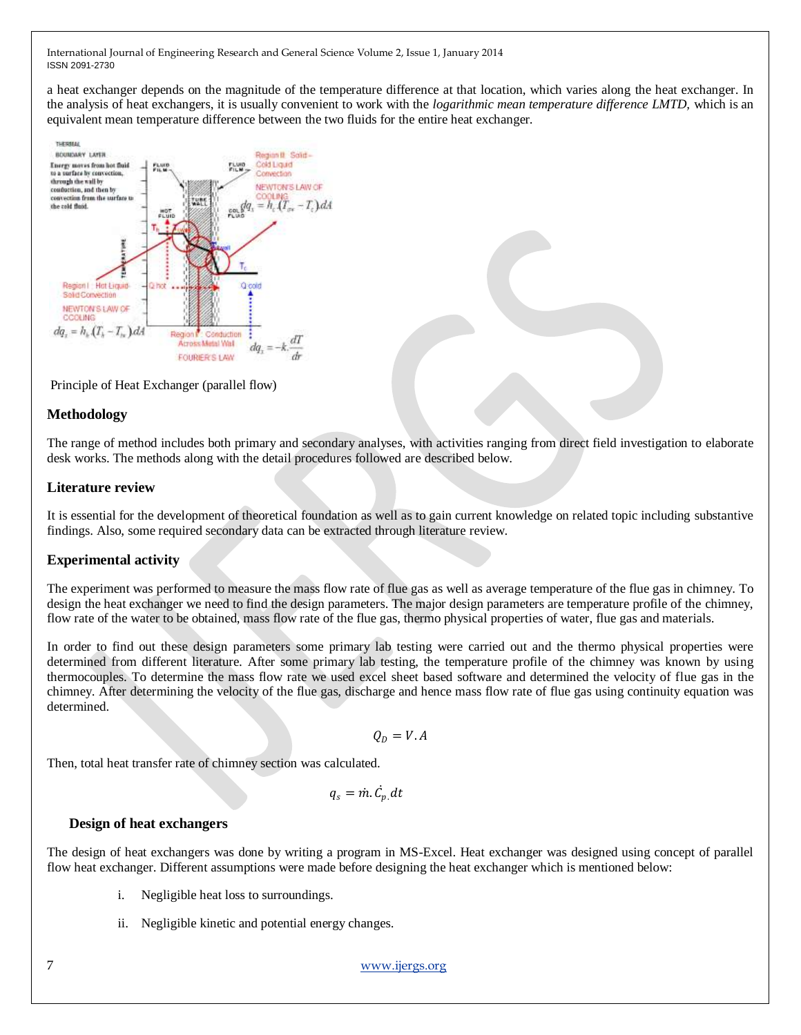a heat exchanger depends on the magnitude of the temperature difference at that location, which varies along the heat exchanger. In the analysis of heat exchangers, it is usually convenient to work with the *logarithmic mean temperature difference LMTD,* which is an equivalent mean temperature difference between the two fluids for the entire heat exchanger.



Principle of Heat Exchanger (parallel flow)

## **Methodology**

The range of method includes both primary and secondary analyses, with activities ranging from direct field investigation to elaborate desk works. The methods along with the detail procedures followed are described below.

## **Literature review**

It is essential for the development of theoretical foundation as well as to gain current knowledge on related topic including substantive findings. Also, some required secondary data can be extracted through literature review.

# **Experimental activity**

The experiment was performed to measure the mass flow rate of flue gas as well as average temperature of the flue gas in chimney. To design the heat exchanger we need to find the design parameters. The major design parameters are temperature profile of the chimney, flow rate of the water to be obtained, mass flow rate of the flue gas, thermo physical properties of water, flue gas and materials.

In order to find out these design parameters some primary lab testing were carried out and the thermo physical properties were determined from different literature. After some primary lab testing, the temperature profile of the chimney was known by using thermocouples. To determine the mass flow rate we used excel sheet based software and determined the velocity of flue gas in the chimney. After determining the velocity of the flue gas, discharge and hence mass flow rate of flue gas using continuity equation was determined.

$$
Q_D=V.A
$$

Then, total heat transfer rate of chimney section was calculated.

$$
q_s = \dot{m}.\,\dot{C}_p \,dt
$$

# **Design of heat exchangers**

The design of heat exchangers was done by writing a program in MS-Excel. Heat exchanger was designed using concept of parallel flow heat exchanger. Different assumptions were made before designing the heat exchanger which is mentioned below:

- i. Negligible heat loss to surroundings.
- ii. Negligible kinetic and potential energy changes.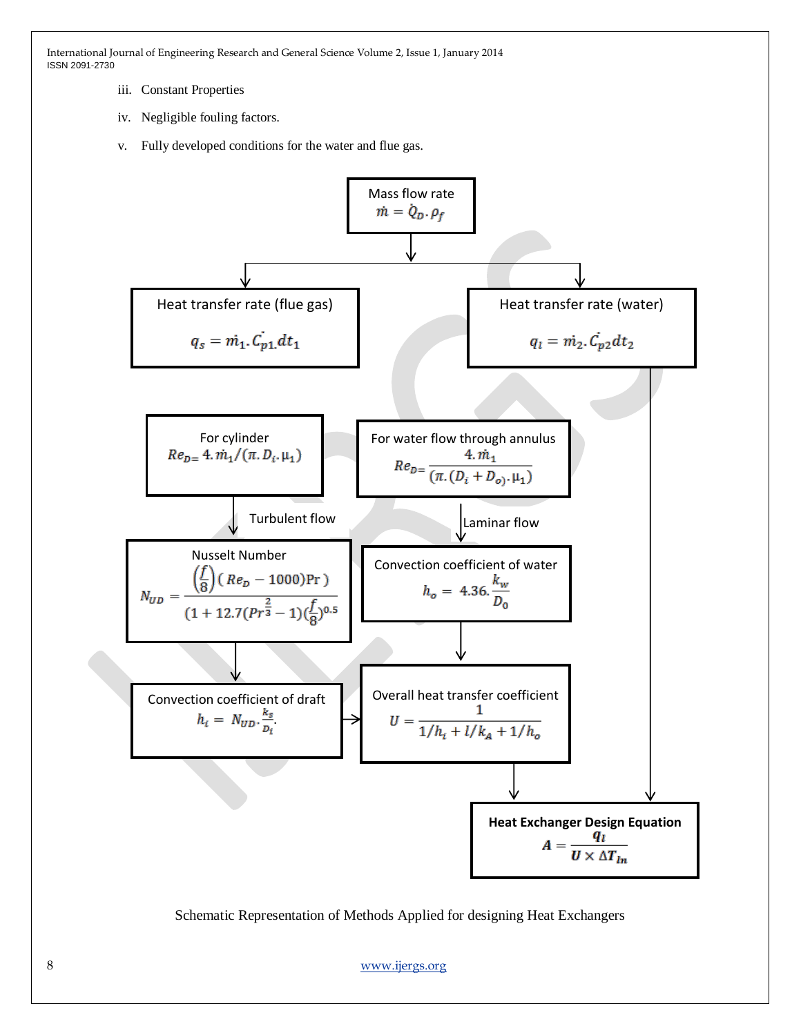- iii. Constant Properties
- iv. Negligible fouling factors.
- v. Fully developed conditions for the water and flue gas.



Schematic Representation of Methods Applied for designing Heat Exchangers

8 [www.ijergs.org](http://www.ijergs.org/)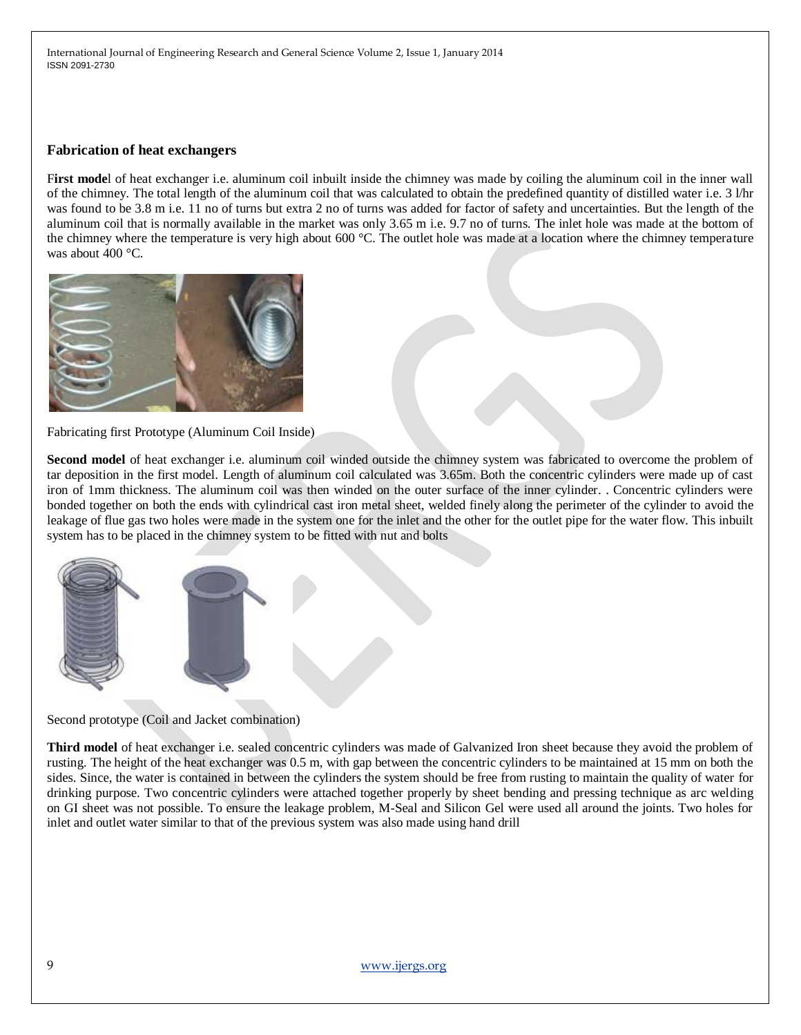#### **Fabrication of heat exchangers**

First model of heat exchanger i.e. aluminum coil inbuilt inside the chimney was made by coiling the aluminum coil in the inner wall of the chimney. The total length of the aluminum coil that was calculated to obtain the predefined quantity of distilled water i.e. 3 l/hr was found to be 3.8 m i.e. 11 no of turns but extra 2 no of turns was added for factor of safety and uncertainties. But the length of the aluminum coil that is normally available in the market was only 3.65 m i.e. 9.7 no of turns. The inlet hole was made at the bottom of the chimney where the temperature is very high about 600 °C. The outlet hole was made at a location where the chimney temperature was about 400 °C.



Fabricating first Prototype (Aluminum Coil Inside)

**Second model** of heat exchanger i.e. aluminum coil winded outside the chimney system was fabricated to overcome the problem of tar deposition in the first model. Length of aluminum coil calculated was 3.65m. Both the concentric cylinders were made up of cast iron of 1mm thickness. The aluminum coil was then winded on the outer surface of the inner cylinder. . Concentric cylinders were bonded together on both the ends with cylindrical cast iron metal sheet, welded finely along the perimeter of the cylinder to avoid the leakage of flue gas two holes were made in the system one for the inlet and the other for the outlet pipe for the water flow. This inbuilt system has to be placed in the chimney system to be fitted with nut and bolts



Second prototype (Coil and Jacket combination)

**Third model** of heat exchanger i.e. sealed concentric cylinders was made of Galvanized Iron sheet because they avoid the problem of rusting. The height of the heat exchanger was 0.5 m, with gap between the concentric cylinders to be maintained at 15 mm on both the sides. Since, the water is contained in between the cylinders the system should be free from rusting to maintain the quality of water for drinking purpose. Two concentric cylinders were attached together properly by sheet bending and pressing technique as arc welding on GI sheet was not possible. To ensure the leakage problem, M-Seal and Silicon Gel were used all around the joints. Two holes for inlet and outlet water similar to that of the previous system was also made using hand drill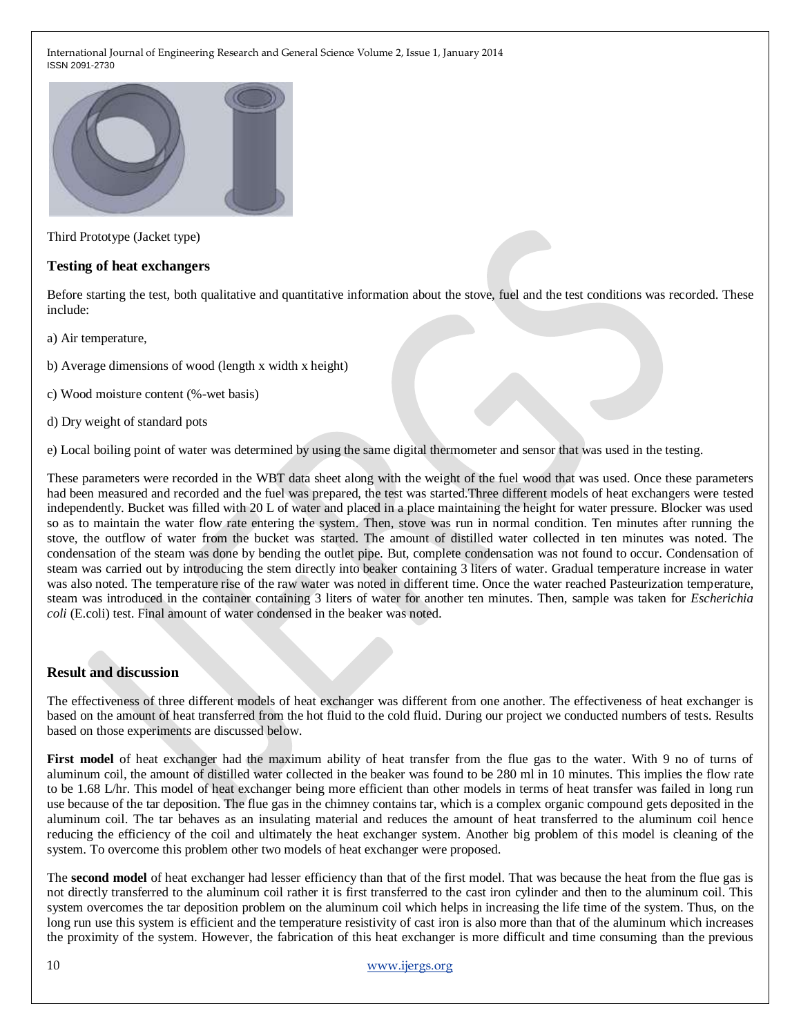

Third Prototype (Jacket type)

## **Testing of heat exchangers**

Before starting the test, both qualitative and quantitative information about the stove, fuel and the test conditions was recorded. These include:

a) Air temperature,

b) Average dimensions of wood (length x width x height)

c) Wood moisture content (%-wet basis)

d) Dry weight of standard pots

e) Local boiling point of water was determined by using the same digital thermometer and sensor that was used in the testing.

These parameters were recorded in the WBT data sheet along with the weight of the fuel wood that was used. Once these parameters had been measured and recorded and the fuel was prepared, the test was started.Three different models of heat exchangers were tested independently. Bucket was filled with 20 L of water and placed in a place maintaining the height for water pressure. Blocker was used so as to maintain the water flow rate entering the system. Then, stove was run in normal condition. Ten minutes after running the stove, the outflow of water from the bucket was started. The amount of distilled water collected in ten minutes was noted. The condensation of the steam was done by bending the outlet pipe. But, complete condensation was not found to occur. Condensation of steam was carried out by introducing the stem directly into beaker containing 3 liters of water. Gradual temperature increase in water was also noted. The temperature rise of the raw water was noted in different time. Once the water reached Pasteurization temperature, steam was introduced in the container containing 3 liters of water for another ten minutes. Then, sample was taken for *Escherichia coli* (E.coli) test. Final amount of water condensed in the beaker was noted.

# **Result and discussion**

The effectiveness of three different models of heat exchanger was different from one another. The effectiveness of heat exchanger is based on the amount of heat transferred from the hot fluid to the cold fluid. During our project we conducted numbers of tests. Results based on those experiments are discussed below.

**First model** of heat exchanger had the maximum ability of heat transfer from the flue gas to the water. With 9 no of turns of aluminum coil, the amount of distilled water collected in the beaker was found to be 280 ml in 10 minutes. This implies the flow rate to be 1.68 L/hr. This model of heat exchanger being more efficient than other models in terms of heat transfer was failed in long run use because of the tar deposition. The flue gas in the chimney contains tar, which is a complex organic compound gets deposited in the aluminum coil. The tar behaves as an insulating material and reduces the amount of heat transferred to the aluminum coil hence reducing the efficiency of the coil and ultimately the heat exchanger system. Another big problem of this model is cleaning of the system. To overcome this problem other two models of heat exchanger were proposed.

The **second model** of heat exchanger had lesser efficiency than that of the first model. That was because the heat from the flue gas is not directly transferred to the aluminum coil rather it is first transferred to the cast iron cylinder and then to the aluminum coil. This system overcomes the tar deposition problem on the aluminum coil which helps in increasing the life time of the system. Thus, on the long run use this system is efficient and the temperature resistivity of cast iron is also more than that of the aluminum which increases the proximity of the system. However, the fabrication of this heat exchanger is more difficult and time consuming than the previous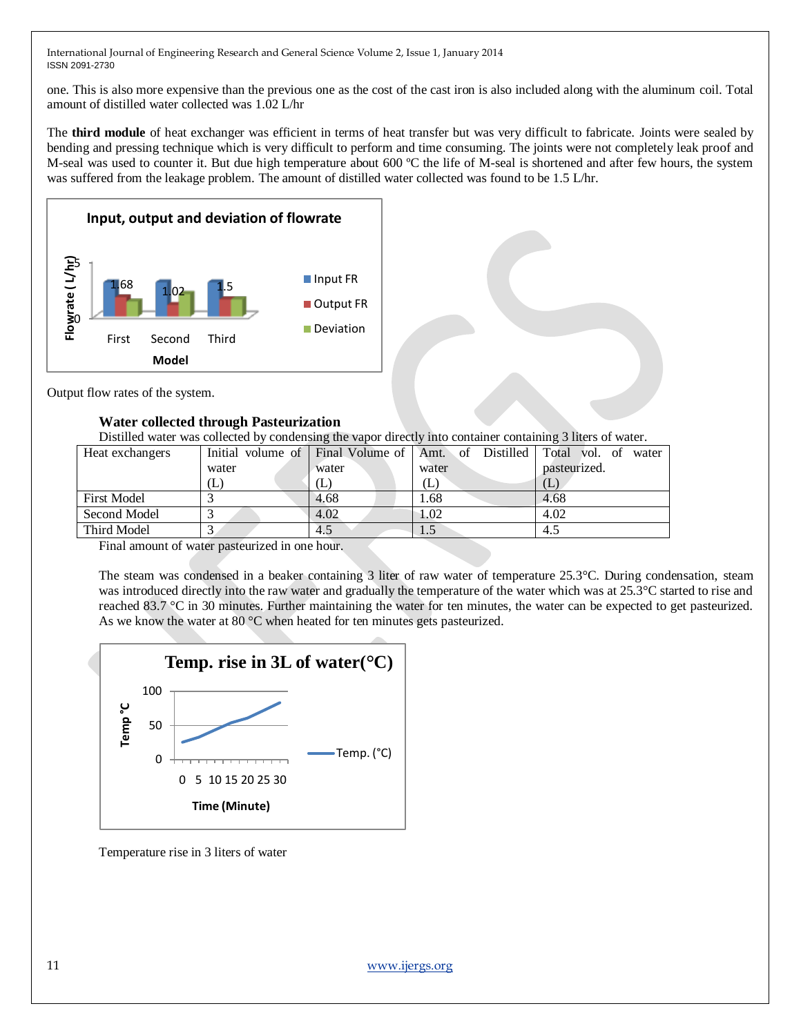one. This is also more expensive than the previous one as the cost of the cast iron is also included along with the aluminum coil. Total amount of distilled water collected was 1.02 L/hr

The **third module** of heat exchanger was efficient in terms of heat transfer but was very difficult to fabricate. Joints were sealed by bending and pressing technique which is very difficult to perform and time consuming. The joints were not completely leak proof and M-seal was used to counter it. But due high temperature about 600 °C the life of M-seal is shortened and after few hours, the system was suffered from the leakage problem. The amount of distilled water collected was found to be 1.5 L/hr.



Output flow rates of the system.

## **Water collected through Pasteurization**

Distilled water was collected by condensing the vapor directly into container containing 3 liters of water.

| Heat exchangers    |       |       |       | Initial volume of Final Volume of Amt. of Distilled Total vol. of water |  |
|--------------------|-------|-------|-------|-------------------------------------------------------------------------|--|
|                    | water | water | water | pasteurized.                                                            |  |
|                    |       | T     | Œ     | (L)                                                                     |  |
| <b>First Model</b> |       | 4.68  | 1.68  | 4.68                                                                    |  |
| Second Model       |       | 4.02  | 1.02  | 4.02                                                                    |  |
| Third Model        |       | 4.5   | L.5   | 4.5                                                                     |  |

Final amount of water pasteurized in one hour.

The steam was condensed in a beaker containing 3 liter of raw water of temperature 25.3°C. During condensation, steam was introduced directly into the raw water and gradually the temperature of the water which was at 25.3°C started to rise and reached 83.7 °C in 30 minutes. Further maintaining the water for ten minutes, the water can be expected to get pasteurized. As we know the water at 80 °C when heated for ten minutes gets pasteurized.



Temperature rise in 3 liters of water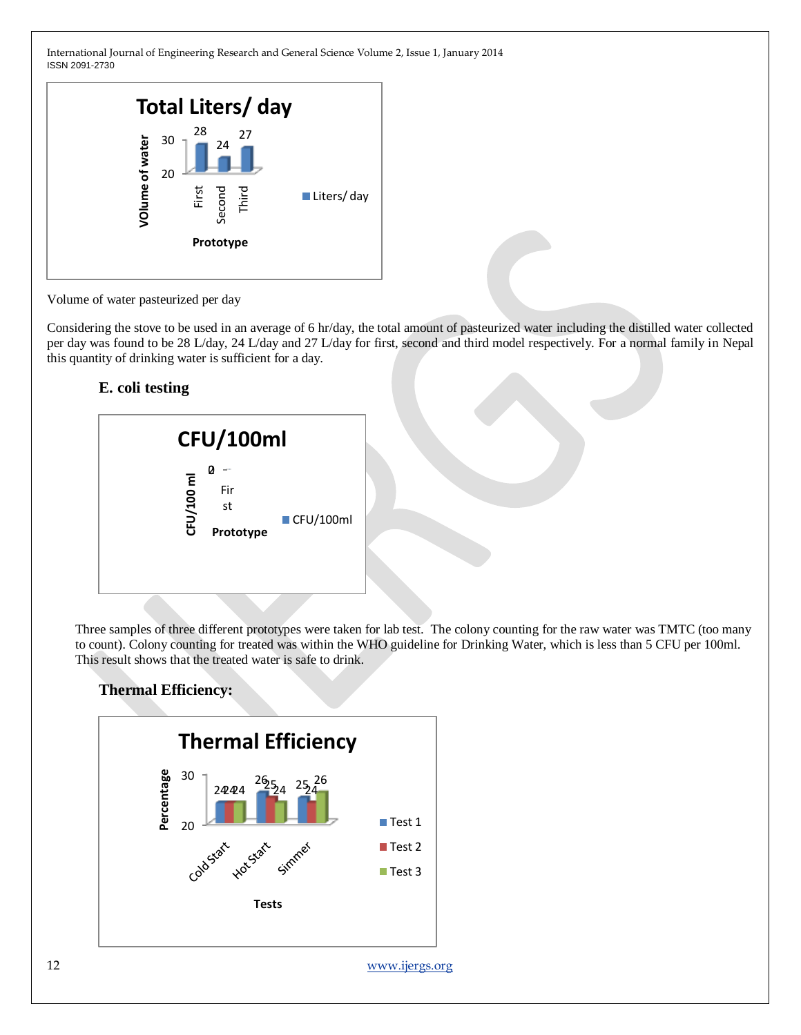

Volume of water pasteurized per day

Considering the stove to be used in an average of 6 hr/day, the total amount of pasteurized water including the distilled water collected per day was found to be 28 L/day, 24 L/day and 27 L/day for first, second and third model respectively. For a normal family in Nepal this quantity of drinking water is sufficient for a day.

# **E. coli testing**



Three samples of three different prototypes were taken for lab test. The colony counting for the raw water was TMTC (too many to count). Colony counting for treated was within the WHO guideline for Drinking Water, which is less than 5 CFU per 100ml. This result shows that the treated water is safe to drink.

# **Thermal Efficiency:**

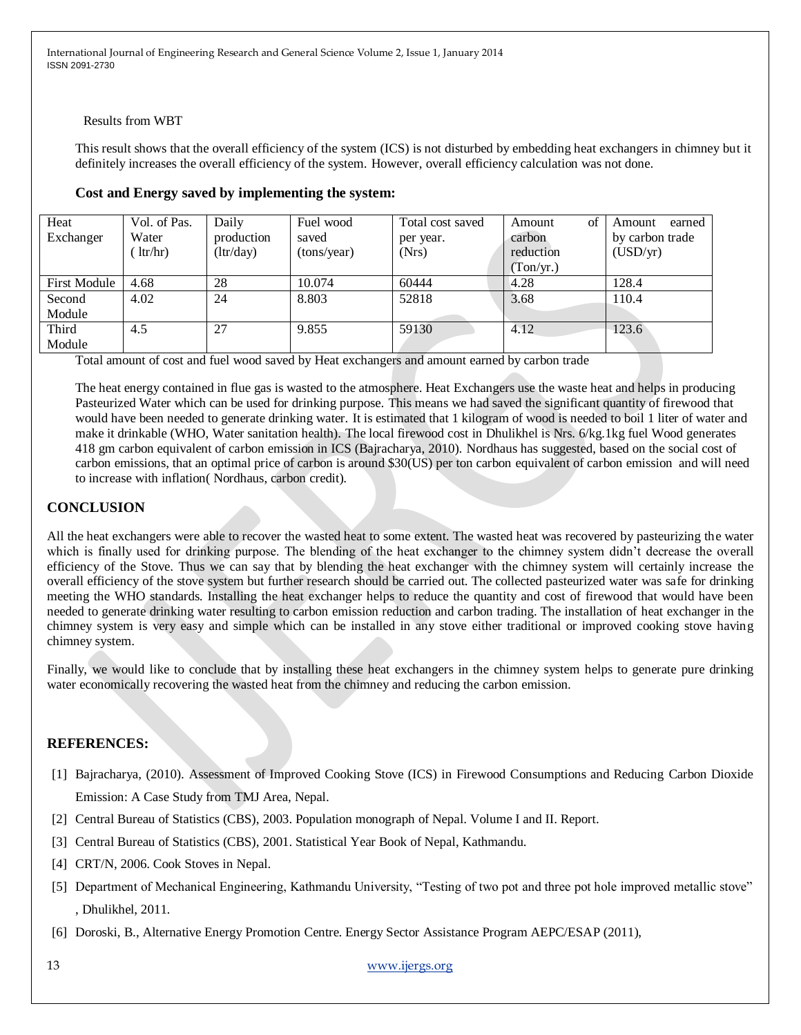#### Results from WBT

This result shows that the overall efficiency of the system (ICS) is not disturbed by embedding heat exchangers in chimney but it definitely increases the overall efficiency of the system. However, overall efficiency calculation was not done.

| Heat                | Vol. of Pas. | Daily      | Fuel wood   | Total cost saved | of<br>Amount | earned<br>Amount |
|---------------------|--------------|------------|-------------|------------------|--------------|------------------|
| Exchanger           | Water        | production | saved       | per year.        | carbon       | by carbon trade  |
|                     | ltr/hr)      | (ltr/day)  | (tons/year) | (Nrs)            | reduction    | (USD/yr)         |
|                     |              |            |             |                  | (Ton/vr.)    |                  |
| <b>First Module</b> | 4.68         | 28         | 10.074      | 60444            | 4.28         | 128.4            |
| Second              | 4.02         | 24         | 8.803       | 52818            | 3.68         | 110.4            |
| Module              |              |            |             |                  |              |                  |
| Third               | 4.5          | 27         | 9.855       | 59130            | 4.12         | 123.6            |
| Module              |              |            |             |                  |              |                  |

#### **Cost and Energy saved by implementing the system:**

Total amount of cost and fuel wood saved by Heat exchangers and amount earned by carbon trade

The heat energy contained in flue gas is wasted to the atmosphere. Heat Exchangers use the waste heat and helps in producing Pasteurized Water which can be used for drinking purpose. This means we had saved the significant quantity of firewood that would have been needed to generate drinking water. It is estimated that 1 kilogram of wood is needed to boil 1 liter of water and make it drinkable (WHO, Water sanitation health). The local firewood cost in Dhulikhel is Nrs. 6/kg.1kg fuel Wood generates 418 gm carbon equivalent of carbon emission in ICS (Bajracharya, 2010). Nordhaus has suggested, based on the social cost of carbon emissions, that an optimal price of carbon is around \$30(US) per ton carbon equivalent of carbon emission and will need to increase with inflation( Nordhaus, carbon credit).

# **CONCLUSION**

All the heat exchangers were able to recover the wasted heat to some extent. The wasted heat was recovered by pasteurizing the water which is finally used for drinking purpose. The blending of the heat exchanger to the chimney system didn't decrease the overall efficiency of the Stove. Thus we can say that by blending the heat exchanger with the chimney system will certainly increase the overall efficiency of the stove system but further research should be carried out. The collected pasteurized water was safe for drinking meeting the WHO standards. Installing the heat exchanger helps to reduce the quantity and cost of firewood that would have been needed to generate drinking water resulting to carbon emission reduction and carbon trading. The installation of heat exchanger in the chimney system is very easy and simple which can be installed in any stove either traditional or improved cooking stove having chimney system.

Finally, we would like to conclude that by installing these heat exchangers in the chimney system helps to generate pure drinking water economically recovering the wasted heat from the chimney and reducing the carbon emission.

# **REFERENCES:**

- [1] Bajracharya, (2010). Assessment of Improved Cooking Stove (ICS) in Firewood Consumptions and Reducing Carbon Dioxide Emission: A Case Study from TMJ Area, Nepal.
- [2] Central Bureau of Statistics (CBS), 2003. Population monograph of Nepal. Volume I and II. Report.
- [3] Central Bureau of Statistics (CBS), 2001. Statistical Year Book of Nepal, Kathmandu.
- [4] CRT/N, 2006. Cook Stoves in Nepal.
- [5] Department of Mechanical Engineering, Kathmandu University, "Testing of two pot and three pot hole improved metallic stove" , Dhulikhel, 2011.
- [6] Doroski, B., Alternative Energy Promotion Centre. Energy Sector Assistance Program AEPC/ESAP (2011),

13 [www.ijergs.org](http://www.ijergs.org/)